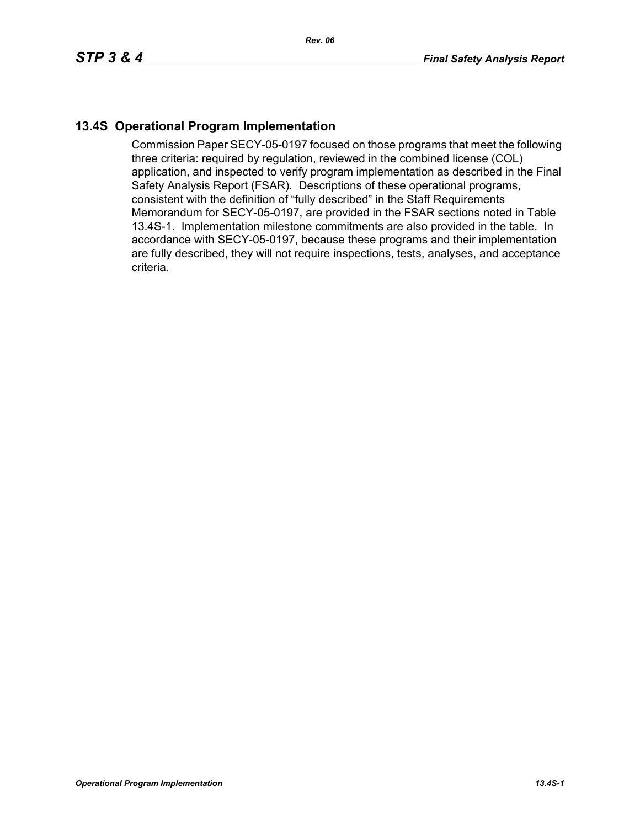## **13.4S Operational Program Implementation**

Commission Paper SECY-05-0197 focused on those programs that meet the following three criteria: required by regulation, reviewed in the combined license (COL) application, and inspected to verify program implementation as described in the Final Safety Analysis Report (FSAR). Descriptions of these operational programs, consistent with the definition of "fully described" in the Staff Requirements Memorandum for SECY-05-0197, are provided in the FSAR sections noted in Table 13.4S-1. Implementation milestone commitments are also provided in the table. In accordance with SECY-05-0197, because these programs and their implementation are fully described, they will not require inspections, tests, analyses, and acceptance criteria.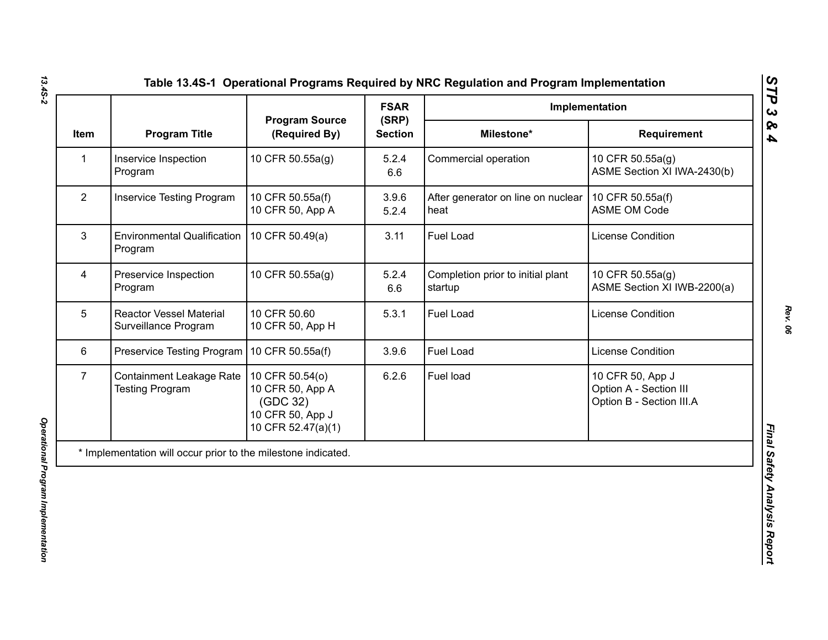|                |                                                               |                                                                                           | <b>FSAR</b>             | Implementation                               |                                                                        |
|----------------|---------------------------------------------------------------|-------------------------------------------------------------------------------------------|-------------------------|----------------------------------------------|------------------------------------------------------------------------|
| Item           | <b>Program Title</b>                                          | <b>Program Source</b><br>(Required By)                                                    | (SRP)<br><b>Section</b> | Milestone*                                   | <b>Requirement</b>                                                     |
| 1              | Inservice Inspection<br>Program                               | 10 CFR 50.55a(g)                                                                          | 5.2.4<br>6.6            | Commercial operation                         | 10 CFR 50.55a(g)<br>ASME Section XI IWA-2430(b)                        |
| $\overline{2}$ | <b>Inservice Testing Program</b>                              | 10 CFR 50.55a(f)<br>10 CFR 50, App A                                                      | 3.9.6<br>5.2.4          | After generator on line on nuclear<br>heat   | 10 CFR 50.55a(f)<br><b>ASME OM Code</b>                                |
| 3              | <b>Environmental Qualification</b><br>Program                 | 10 CFR 50.49(a)                                                                           | 3.11                    | Fuel Load                                    | License Condition                                                      |
| 4              | Preservice Inspection<br>Program                              | 10 CFR 50.55a(g)                                                                          | 5.2.4<br>6.6            | Completion prior to initial plant<br>startup | 10 CFR 50.55a(g)<br>ASME Section XI IWB-2200(a)                        |
| 5              | <b>Reactor Vessel Material</b><br>Surveillance Program        | 10 CFR 50.60<br>10 CFR 50, App H                                                          | 5.3.1                   | <b>Fuel Load</b>                             | <b>License Condition</b>                                               |
| 6              | Preservice Testing Program   10 CFR 50.55a(f)                 |                                                                                           | 3.9.6                   | <b>Fuel Load</b>                             | <b>License Condition</b>                                               |
| $\overline{7}$ | Containment Leakage Rate  <br><b>Testing Program</b>          | 10 CFR 50.54(o)<br>10 CFR 50, App A<br>(GDC 32)<br>10 CFR 50, App J<br>10 CFR 52.47(a)(1) | 6.2.6                   | Fuel load                                    | 10 CFR 50, App J<br>Option A - Section III<br>Option B - Section III.A |
|                | * Implementation will occur prior to the milestone indicated. |                                                                                           |                         |                                              |                                                                        |

*Rev. 06*

*STP 3 & 4*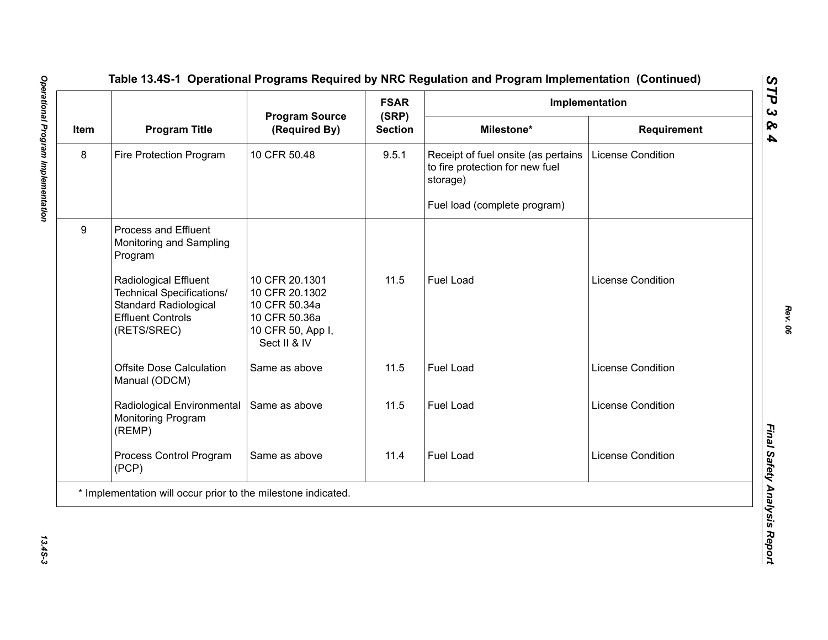|      |                                                                                                                                      |                                                                                                         | <b>FSAR</b>             |                                                                                    | Implementation           |
|------|--------------------------------------------------------------------------------------------------------------------------------------|---------------------------------------------------------------------------------------------------------|-------------------------|------------------------------------------------------------------------------------|--------------------------|
| Item | <b>Program Title</b>                                                                                                                 | <b>Program Source</b><br>(Required By)                                                                  | (SRP)<br><b>Section</b> | Milestone*                                                                         | Requirement              |
| 8    | Fire Protection Program                                                                                                              | 10 CFR 50.48                                                                                            | 9.5.1                   | Receipt of fuel onsite (as pertains<br>to fire protection for new fuel<br>storage) | <b>License Condition</b> |
|      |                                                                                                                                      |                                                                                                         |                         | Fuel load (complete program)                                                       |                          |
| 9    | Process and Effluent<br>Monitoring and Sampling<br>Program                                                                           |                                                                                                         |                         |                                                                                    |                          |
|      | <b>Radiological Effluent</b><br>Technical Specifications/<br><b>Standard Radiological</b><br><b>Effluent Controls</b><br>(RETS/SREC) | 10 CFR 20.1301<br>10 CFR 20.1302<br>10 CFR 50.34a<br>10 CFR 50.36a<br>10 CFR 50, App I,<br>Sect II & IV | 11.5                    | <b>Fuel Load</b>                                                                   | <b>License Condition</b> |
|      | <b>Offsite Dose Calculation</b><br>Manual (ODCM)                                                                                     | Same as above                                                                                           | 11.5                    | Fuel Load                                                                          | License Condition        |
|      | Radiological Environmental<br>Monitoring Program<br>(REMP)                                                                           | Same as above                                                                                           | 11.5                    | Fuel Load                                                                          | License Condition        |
|      | Process Control Program<br>(PCP)                                                                                                     | Same as above                                                                                           | 11.4                    | Fuel Load                                                                          | License Condition        |
|      | * Implementation will occur prior to the milestone indicated.                                                                        |                                                                                                         |                         |                                                                                    |                          |

13.45-3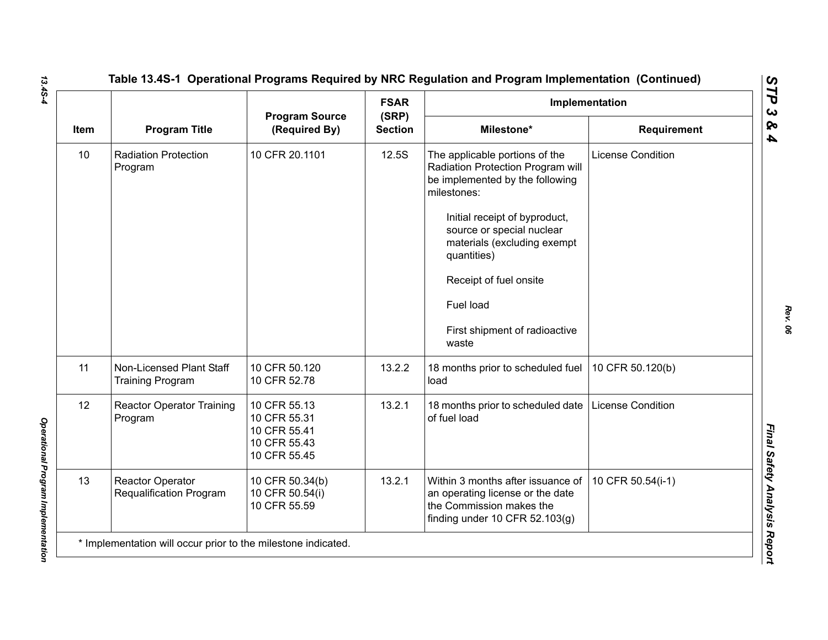|      |                                                     |                                                                              | <b>FSAR</b>             |                                                                                                                                                                                                                                                                                                                    | Implementation           |
|------|-----------------------------------------------------|------------------------------------------------------------------------------|-------------------------|--------------------------------------------------------------------------------------------------------------------------------------------------------------------------------------------------------------------------------------------------------------------------------------------------------------------|--------------------------|
| Item | <b>Program Title</b>                                | <b>Program Source</b><br>(Required By)                                       | (SRP)<br><b>Section</b> | Milestone*                                                                                                                                                                                                                                                                                                         | <b>Requirement</b>       |
| 10   | <b>Radiation Protection</b><br>Program              | 10 CFR 20.1101                                                               | 12.5S                   | The applicable portions of the<br>Radiation Protection Program will<br>be implemented by the following<br>milestones:<br>Initial receipt of byproduct,<br>source or special nuclear<br>materials (excluding exempt<br>quantities)<br>Receipt of fuel onsite<br>Fuel load<br>First shipment of radioactive<br>waste | <b>License Condition</b> |
| 11   | Non-Licensed Plant Staff<br><b>Training Program</b> | 10 CFR 50.120<br>10 CFR 52.78                                                | 13.2.2                  | 18 months prior to scheduled fuel<br>load                                                                                                                                                                                                                                                                          | 10 CFR 50.120(b)         |
| 12   | <b>Reactor Operator Training</b><br>Program         | 10 CFR 55.13<br>10 CFR 55.31<br>10 CFR 55.41<br>10 CFR 55.43<br>10 CFR 55.45 | 13.2.1                  | 18 months prior to scheduled date<br>of fuel load                                                                                                                                                                                                                                                                  | <b>License Condition</b> |
| 13   | <b>Reactor Operator</b><br>Requalification Program  | 10 CFR 50.34(b)<br>10 CFR 50.54(i)<br>10 CFR 55.59                           | 13.2.1                  | Within 3 months after issuance of<br>an operating license or the date<br>the Commission makes the<br>finding under 10 CFR $52.103(g)$                                                                                                                                                                              | 10 CFR 50.54(i-1)        |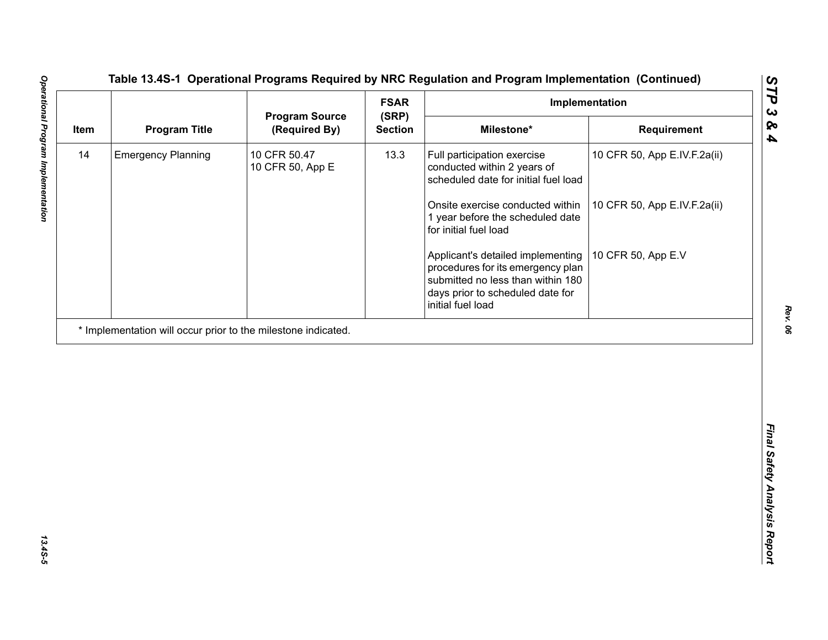| <b>Program Title</b><br>Milestone*<br>(Required By)<br><b>Section</b><br>Requirement<br><b>Emergency Planning</b><br>10 CFR 50.47<br>13.3<br>Full participation exercise<br>10 CFR 50, App E.IV.F.2a(ii)<br>10 CFR 50, App E<br>conducted within 2 years of<br>scheduled date for initial fuel load<br>Onsite exercise conducted within<br>10 CFR 50, App E.IV.F.2a(ii)<br>1 year before the scheduled date<br>for initial fuel load<br>10 CFR 50, App E.V<br>Applicant's detailed implementing<br>procedures for its emergency plan<br>submitted no less than within 180<br>days prior to scheduled date for<br>initial fuel load | 14<br>* Implementation will occur prior to the milestone indicated. |      | <b>FSAR</b><br>Implementation |                       |       |  |  |
|------------------------------------------------------------------------------------------------------------------------------------------------------------------------------------------------------------------------------------------------------------------------------------------------------------------------------------------------------------------------------------------------------------------------------------------------------------------------------------------------------------------------------------------------------------------------------------------------------------------------------------|---------------------------------------------------------------------|------|-------------------------------|-----------------------|-------|--|--|
|                                                                                                                                                                                                                                                                                                                                                                                                                                                                                                                                                                                                                                    |                                                                     | Item |                               | <b>Program Source</b> | (SRP) |  |  |
|                                                                                                                                                                                                                                                                                                                                                                                                                                                                                                                                                                                                                                    |                                                                     |      |                               |                       |       |  |  |
|                                                                                                                                                                                                                                                                                                                                                                                                                                                                                                                                                                                                                                    |                                                                     |      |                               |                       |       |  |  |
|                                                                                                                                                                                                                                                                                                                                                                                                                                                                                                                                                                                                                                    |                                                                     |      |                               |                       |       |  |  |
|                                                                                                                                                                                                                                                                                                                                                                                                                                                                                                                                                                                                                                    |                                                                     |      |                               |                       |       |  |  |
|                                                                                                                                                                                                                                                                                                                                                                                                                                                                                                                                                                                                                                    |                                                                     |      |                               |                       |       |  |  |
|                                                                                                                                                                                                                                                                                                                                                                                                                                                                                                                                                                                                                                    |                                                                     |      |                               |                       |       |  |  |
|                                                                                                                                                                                                                                                                                                                                                                                                                                                                                                                                                                                                                                    |                                                                     |      |                               |                       |       |  |  |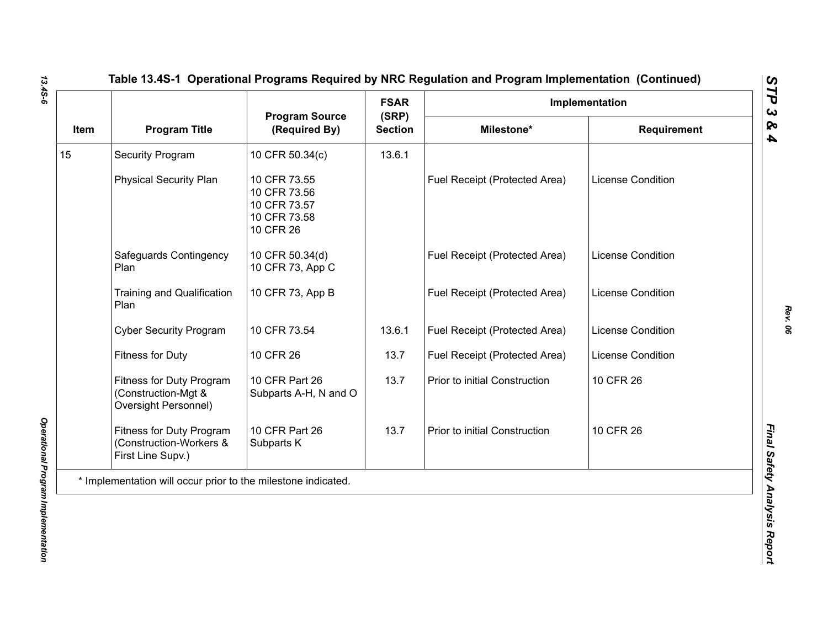|      |                                                                                |                                                                           | <b>FSAR</b><br>(SRP) |                               | Implementation           |  |
|------|--------------------------------------------------------------------------------|---------------------------------------------------------------------------|----------------------|-------------------------------|--------------------------|--|
| Item | <b>Program Title</b>                                                           | <b>Program Source</b><br>(Required By)                                    | <b>Section</b>       | Milestone*                    | <b>Requirement</b>       |  |
|      | <b>Security Program</b>                                                        | 10 CFR 50.34(c)                                                           | 13.6.1               |                               |                          |  |
|      | <b>Physical Security Plan</b>                                                  | 10 CFR 73.55<br>10 CFR 73.56<br>10 CFR 73.57<br>10 CFR 73.58<br>10 CFR 26 |                      | Fuel Receipt (Protected Area) | <b>License Condition</b> |  |
|      | Safeguards Contingency<br>Plan                                                 | 10 CFR 50.34(d)<br>10 CFR 73, App C                                       |                      | Fuel Receipt (Protected Area) | <b>License Condition</b> |  |
|      | Training and Qualification<br>Plan                                             | 10 CFR 73, App B                                                          |                      | Fuel Receipt (Protected Area) | <b>License Condition</b> |  |
|      | <b>Cyber Security Program</b>                                                  | 10 CFR 73.54                                                              | 13.6.1               | Fuel Receipt (Protected Area) | <b>License Condition</b> |  |
|      | <b>Fitness for Duty</b>                                                        | 10 CFR 26                                                                 | 13.7                 | Fuel Receipt (Protected Area) | License Condition        |  |
|      | Fitness for Duty Program<br>(Construction-Mgt &<br><b>Oversight Personnel)</b> | 10 CFR Part 26<br>Subparts A-H, N and O                                   | 13.7                 | Prior to initial Construction | 10 CFR 26                |  |
|      | Fitness for Duty Program<br>(Construction-Workers &<br>First Line Supv.)       | 10 CFR Part 26<br>Subparts K                                              | 13.7                 | Prior to initial Construction | 10 CFR 26                |  |
|      | * Implementation will occur prior to the milestone indicated.                  |                                                                           |                      |                               |                          |  |

*Rev. 06*

*STP 3 & 4*